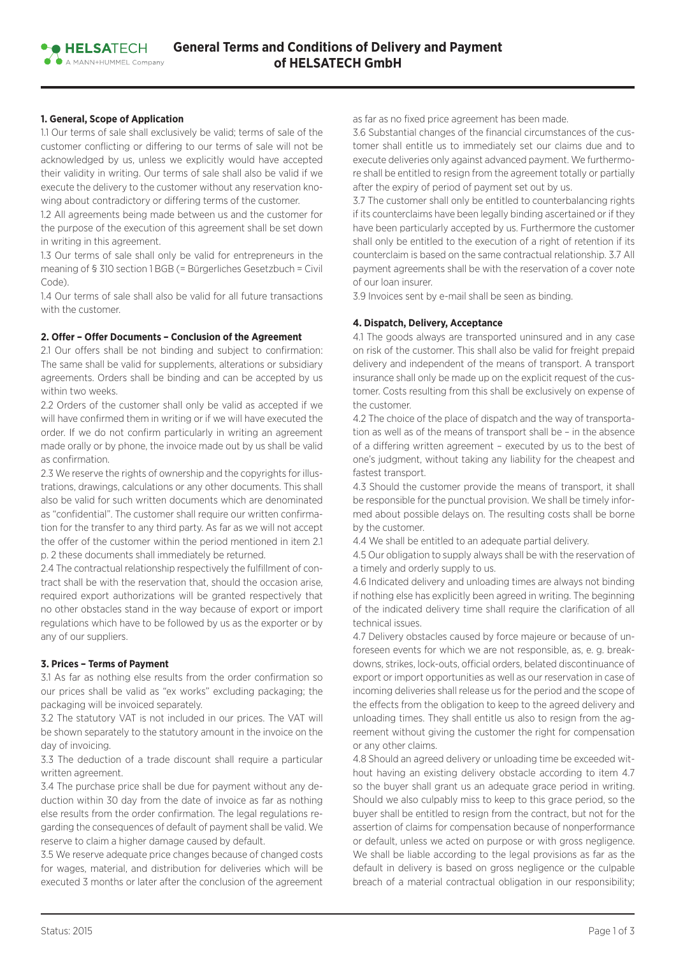# **1. General, Scope of Application**

**• HELSATFCH** A MANNAHIMMEL Company

1.1 Our terms of sale shall exclusively be valid; terms of sale of the customer conflicting or differing to our terms of sale will not be acknowledged by us, unless we explicitly would have accepted their validity in writing. Our terms of sale shall also be valid if we execute the delivery to the customer without any reservation knowing about contradictory or differing terms of the customer.

1.2 All agreements being made between us and the customer for the purpose of the execution of this agreement shall be set down in writing in this agreement.

1.3 Our terms of sale shall only be valid for entrepreneurs in the meaning of § 310 section 1 BGB (= Bürgerliches Gesetzbuch = Civil Code).

1.4 Our terms of sale shall also be valid for all future transactions with the customer.

### **2. Offer – Offer Documents – Conclusion of the Agreement**

2.1 Our offers shall be not binding and subject to confirmation: The same shall be valid for supplements, alterations or subsidiary agreements. Orders shall be binding and can be accepted by us within two weeks.

2.2 Orders of the customer shall only be valid as accepted if we will have confirmed them in writing or if we will have executed the order. If we do not confirm particularly in writing an agreement made orally or by phone, the invoice made out by us shall be valid as confirmation.

2.3 We reserve the rights of ownership and the copyrights for illustrations, drawings, calculations or any other documents. This shall also be valid for such written documents which are denominated as "confidential". The customer shall require our written confirmation for the transfer to any third party. As far as we will not accept the offer of the customer within the period mentioned in item 2.1 p. 2 these documents shall immediately be returned.

2.4 The contractual relationship respectively the fulfillment of contract shall be with the reservation that, should the occasion arise, required export authorizations will be granted respectively that no other obstacles stand in the way because of export or import regulations which have to be followed by us as the exporter or by any of our suppliers.

### **3. Prices – Terms of Payment**

3.1 As far as nothing else results from the order confirmation so our prices shall be valid as "ex works" excluding packaging; the packaging will be invoiced separately.

3.2 The statutory VAT is not included in our prices. The VAT will be shown separately to the statutory amount in the invoice on the day of invoicing.

3.3 The deduction of a trade discount shall require a particular written agreement.

3.4 The purchase price shall be due for payment without any deduction within 30 day from the date of invoice as far as nothing else results from the order confirmation. The legal regulations regarding the consequences of default of payment shall be valid. We reserve to claim a higher damage caused by default.

3.5 We reserve adequate price changes because of changed costs for wages, material, and distribution for deliveries which will be executed 3 months or later after the conclusion of the agreement as far as no fixed price agreement has been made.

3.6 Substantial changes of the financial circumstances of the customer shall entitle us to immediately set our claims due and to execute deliveries only against advanced payment. We furthermore shall be entitled to resign from the agreement totally or partially after the expiry of period of payment set out by us.

3.7 The customer shall only be entitled to counterbalancing rights if its counterclaims have been legally binding ascertained or if they have been particularly accepted by us. Furthermore the customer shall only be entitled to the execution of a right of retention if its counterclaim is based on the same contractual relationship. 3.7 All payment agreements shall be with the reservation of a cover note of our loan insurer.

3.9 Invoices sent by e-mail shall be seen as binding.

#### **4. Dispatch, Delivery, Acceptance**

4.1 The goods always are transported uninsured and in any case on risk of the customer. This shall also be valid for freight prepaid delivery and independent of the means of transport. A transport insurance shall only be made up on the explicit request of the customer. Costs resulting from this shall be exclusively on expense of the customer.

4.2 The choice of the place of dispatch and the way of transportation as well as of the means of transport shall be – in the absence of a differing written agreement – executed by us to the best of one's judgment, without taking any liability for the cheapest and fastest transport.

4.3 Should the customer provide the means of transport, it shall be responsible for the punctual provision. We shall be timely informed about possible delays on. The resulting costs shall be borne by the customer.

4.4 We shall be entitled to an adequate partial delivery.

4.5 Our obligation to supply always shall be with the reservation of a timely and orderly supply to us.

4.6 Indicated delivery and unloading times are always not binding if nothing else has explicitly been agreed in writing. The beginning of the indicated delivery time shall require the clarification of all technical issues.

4.7 Delivery obstacles caused by force majeure or because of unforeseen events for which we are not responsible, as, e. g. breakdowns, strikes, lock-outs, official orders, belated discontinuance of export or import opportunities as well as our reservation in case of incoming deliveries shall release us for the period and the scope of the effects from the obligation to keep to the agreed delivery and unloading times. They shall entitle us also to resign from the agreement without giving the customer the right for compensation or any other claims.

4.8 Should an agreed delivery or unloading time be exceeded without having an existing delivery obstacle according to item 4.7 so the buyer shall grant us an adequate grace period in writing. Should we also culpably miss to keep to this grace period, so the buyer shall be entitled to resign from the contract, but not for the assertion of claims for compensation because of nonperformance or default, unless we acted on purpose or with gross negligence. We shall be liable according to the legal provisions as far as the default in delivery is based on gross negligence or the culpable breach of a material contractual obligation in our responsibility;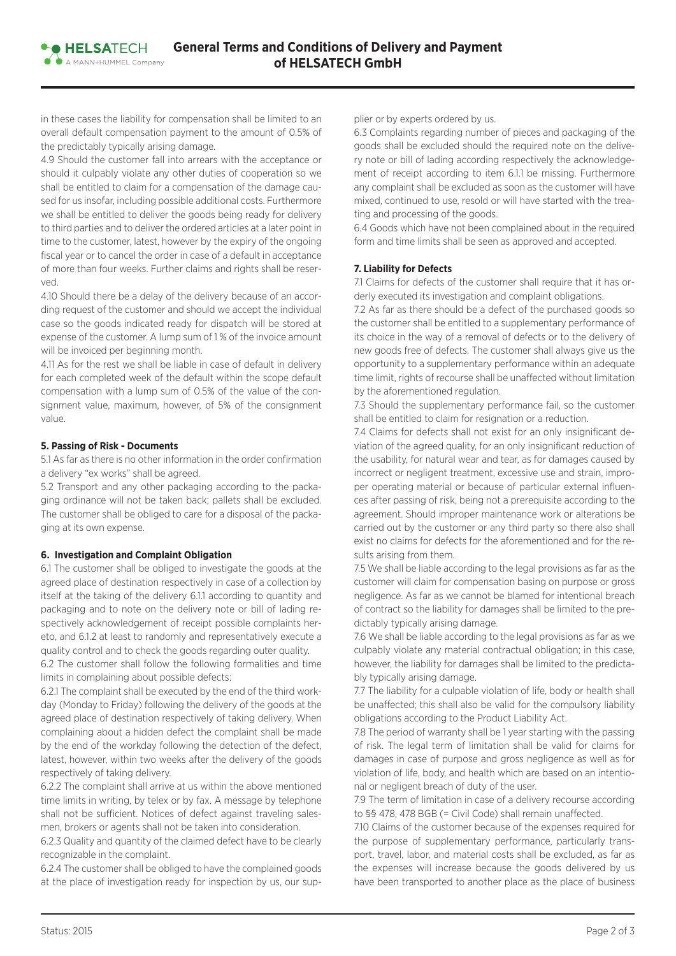in these cases the liability for compensation shall be limited to an overall default compensation payment to the amount of 0.5% of the predictably typically arising damage.

4.9 Should the customer fall into arrears with the acceptance or should it culpably violate any other duties of cooperation so we shall be entitled to claim for a compensation of the damage caused for us insofar, including possible additional costs. Furthermore we shall be entitled to deliver the goods being ready for delivery to third parties and to deliver the ordered articles at a later point in time to the customer, latest, however by the expiry of the ongoing fiscal year or to cancel the order in case of a default in acceptance of more than four weeks. Further claims and rights shall be reserved.

4.10 Should there be a delay of the delivery because of an according request of the customer and should we accept the individual case so the goods indicated ready for dispatch will be stored at expense of the customer. A lump sum of 1 % of the invoice amount will be invoiced per beginning month.

4.11 As for the rest we shall be liable in case of default in delivery for each completed week of the default within the scope default compensation with a lump sum of 0.5% of the value of the consignment value, maximum, however, of 5% of the consignment value.

### **5. Passing of Risk - Documents**

**• HELSATFCH** A MANNAHIMMEL Company

5.1 As far as there is no other information in the order confirmation a delivery "ex works" shall be agreed.

5.2 Transport and any other packaging according to the packaging ordinance will not be taken back; pallets shall be excluded. The customer shall be obliged to care for a disposal of the packaging at its own expense.

### **6. Investigation and Complaint Obligation**

6.1 The customer shall be obliged to investigate the goods at the agreed place of destination respectively in case of a collection by itself at the taking of the delivery 6.1.1 according to quantity and packaging and to note on the delivery note or bill of lading respectively acknowledgement of receipt possible complaints hereto, and 6.1.2 at least to randomly and representatively execute a quality control and to check the goods regarding outer quality.

6.2 The customer shall follow the following formalities and time limits in complaining about possible defects:

6.2.1 The complaint shall be executed by the end of the third workday (Monday to Friday) following the delivery of the goods at the agreed place of destination respectively of taking delivery. When complaining about a hidden defect the complaint shall be made by the end of the workday following the detection of the defect, latest, however, within two weeks after the delivery of the goods respectively of taking delivery.

6.2.2 The complaint shall arrive at us within the above mentioned time limits in writing, by telex or by fax. A message by telephone shall not be sufficient. Notices of defect against traveling salesmen, brokers or agents shall not be taken into consideration.

6.2.3 Quality and quantity of the claimed defect have to be clearly recognizable in the complaint.

6.2.4 The customer shall be obliged to have the complained goods at the place of investigation ready for inspection by us, our supplier or by experts ordered by us.

6.3 Complaints regarding number of pieces and packaging of the goods shall be excluded should the required note on the delivery note or bill of lading according respectively the acknowledgement of receipt according to item 6.1.1 be missing. Furthermore any complaint shall be excluded as soon as the customer will have mixed, continued to use, resold or will have started with the treating and processing of the goods.

6.4 Goods which have not been complained about in the required form and time limits shall be seen as approved and accepted.

# **7. Liability for Defects**

7.1 Claims for defects of the customer shall require that it has orderly executed its investigation and complaint obligations.

7.2 As far as there should be a defect of the purchased goods so the customer shall be entitled to a supplementary performance of its choice in the way of a removal of defects or to the delivery of new goods free of defects. The customer shall always give us the opportunity to a supplementary performance within an adequate time limit, rights of recourse shall be unaffected without limitation by the aforementioned regulation.

7.3 Should the supplementary performance fail, so the customer shall be entitled to claim for resignation or a reduction.

7.4 Claims for defects shall not exist for an only insignificant deviation of the agreed quality, for an only insignificant reduction of the usability, for natural wear and tear, as for damages caused by incorrect or negligent treatment, excessive use and strain, improper operating material or because of particular external influences after passing of risk, being not a prerequisite according to the agreement. Should improper maintenance work or alterations be carried out by the customer or any third party so there also shall exist no claims for defects for the aforementioned and for the results arising from them.

7.5 We shall be liable according to the legal provisions as far as the customer will claim for compensation basing on purpose or gross negligence. As far as we cannot be blamed for intentional breach of contract so the liability for damages shall be limited to the predictably typically arising damage.

7.6 We shall be liable according to the legal provisions as far as we culpably violate any material contractual obligation; in this case, however, the liability for damages shall be limited to the predictably typically arising damage.

7.7 The liability for a culpable violation of life, body or health shall be unaffected; this shall also be valid for the compulsory liability obligations according to the Product Liability Act.

7.8 The period of warranty shall be 1 year starting with the passing of risk. The legal term of limitation shall be valid for claims for damages in case of purpose and gross negligence as well as for violation of life, body, and health which are based on an intentional or negligent breach of duty of the user.

7.9 The term of limitation in case of a delivery recourse according to §§ 478, 478 BGB (= Civil Code) shall remain unaffected.

7.10 Claims of the customer because of the expenses required for the purpose of supplementary performance, particularly transport, travel, labor, and material costs shall be excluded, as far as the expenses will increase because the goods delivered by us have been transported to another place as the place of business